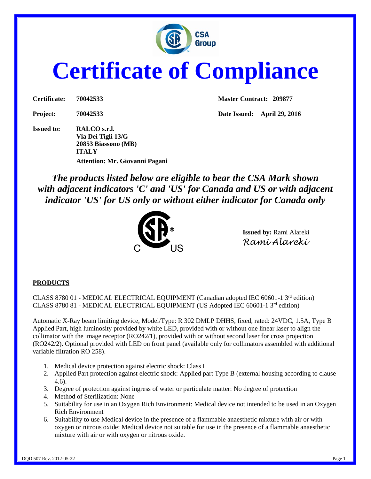

# **Certificate of Compliance**

**Issued to: RALCO s.r.l. Via Dei Tigli 13/G 20853 Biassono (MB) ITALY Attention: Mr. Giovanni Pagani**

**Certificate: 70042533 Master Contract: 209877**

**Project: 70042533 Date Issued: April 29, 2016**

*The products listed below are eligible to bear the CSA Mark shown with adjacent indicators 'C' and 'US' for Canada and US or with adjacent indicator 'US' for US only or without either indicator for Canada only* 



**Issued by:** Rami Alareki *Rami Alareki*

### **PRODUCTS**

CLASS 8780 01 - MEDICAL ELECTRICAL EQUIPMENT (Canadian adopted IEC 60601-1 3<sup>rd</sup> edition) CLASS 8780 81 - MEDICAL ELECTRICAL EQUIPMENT (US Adopted IEC 60601-1  $3<sup>rd</sup>$  edition)

Automatic X-Ray beam limiting device, Model/Type: R 302 DMLP DHHS, fixed, rated: 24VDC, 1.5A, Type B Applied Part, high luminosity provided by white LED, provided with or without one linear laser to align the collimator with the image receptor (RO242/1), provided with or without second laser for cross projection (RO242/2). Optional provided with LED on front panel (available only for collimators assembled with additional variable filtration RO 258).

- 1. Medical device protection against electric shock: Class I
- 2. Applied Part protection against electric shock: Applied part Type B (external housing according to clause 4.6).
- 3. Degree of protection against ingress of water or particulate matter: No degree of protection
- 4. Method of Sterilization: None
- 5. Suitability for use in an Oxygen Rich Environment: Medical device not intended to be used in an Oxygen Rich Environment
- 6. Suitability to use Medical device in the presence of a flammable anaesthetic mixture with air or with oxygen or nitrous oxide: Medical device not suitable for use in the presence of a flammable anaesthetic mixture with air or with oxygen or nitrous oxide.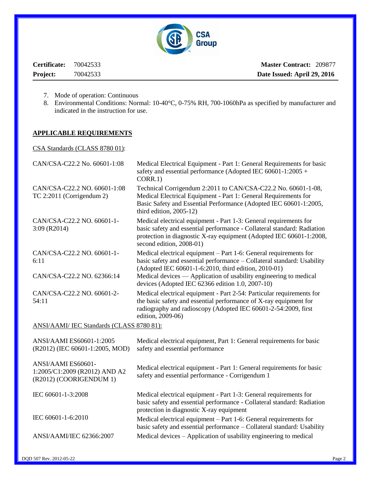

**Certificate:** 70042533 **Project:** 70042533

**Master Contract:** 209877  **Date Issued: April 29, 2016**

- 7. Mode of operation: Continuous
- 8. Environmental Conditions: Normal: 10-40°C, 0-75% RH, 700-1060hPa as specified by manufacturer and indicated in the instruction for use.

### **APPLICABLE REQUIREMENTS**

CSA Standards (CLASS 8780 01):

| CAN/CSA-C22.2 No. 60601-1:08                                                   | Medical Electrical Equipment - Part 1: General Requirements for basic<br>safety and essential performance (Adopted IEC 60601-1:2005 +<br>CORR.1)                                                                                                                          |  |  |  |
|--------------------------------------------------------------------------------|---------------------------------------------------------------------------------------------------------------------------------------------------------------------------------------------------------------------------------------------------------------------------|--|--|--|
| CAN/CSA-C22.2 NO. 60601-1:08<br>TC 2:2011 (Corrigendum 2)                      | Technical Corrigendum 2:2011 to CAN/CSA-C22.2 No. 60601-1-08,<br>Medical Electrical Equipment - Part 1: General Requirements for<br>Basic Safety and Essential Performance (Adopted IEC 60601-1:2005,<br>third edition, $2005-12$ )                                       |  |  |  |
| CAN/CSA-C22.2 NO. 60601-1-<br>$3:09$ (R2014)                                   | Medical electrical equipment - Part 1-3: General requirements for<br>basic safety and essential performance - Collateral standard: Radiation<br>protection in diagnostic X-ray equipment (Adopted IEC 60601-1:2008,<br>second edition, 2008-01)                           |  |  |  |
| CAN/CSA-C22.2 NO. 60601-1-<br>6:11<br>CAN/CSA-C22.2 NO. 62366:14               | Medical electrical equipment – Part 1-6: General requirements for<br>basic safety and essential performance – Collateral standard: Usability<br>(Adopted IEC 60601-1-6:2010, third edition, 2010-01)<br>Medical devices — Application of usability engineering to medical |  |  |  |
|                                                                                | devices (Adopted IEC 62366 edition 1.0, 2007-10)                                                                                                                                                                                                                          |  |  |  |
| CAN/CSA-C22.2 NO. 60601-2-<br>54:11                                            | Medical electrical equipment - Part 2-54: Particular requirements for<br>the basic safety and essential performance of X-ray equipment for<br>radiography and radioscopy (Adopted IEC 60601-2-54:2009, first<br>edition, 2009-06)                                         |  |  |  |
| ANSI/AAMI/ IEC Standards (CLASS 8780 81):                                      |                                                                                                                                                                                                                                                                           |  |  |  |
| ANSI/AAMI ES60601-1:2005<br>(R2012) (IEC 60601-1:2005, MOD)                    | Medical electrical equipment, Part 1: General requirements for basic<br>safety and essential performance                                                                                                                                                                  |  |  |  |
| ANSI/AAMI ES60601-<br>1:2005/C1:2009 (R2012) AND A2<br>(R2012) (COORIGENDUM 1) | Medical electrical equipment - Part 1: General requirements for basic<br>safety and essential performance - Corrigendum 1                                                                                                                                                 |  |  |  |
| IEC 60601-1-3:2008                                                             | Medical electrical equipment - Part 1-3: General requirements for<br>basic safety and essential performance - Collateral standard: Radiation<br>protection in diagnostic X-ray equipment                                                                                  |  |  |  |
| IEC 60601-1-6:2010                                                             | Medical electrical equipment – Part 1-6: General requirements for<br>basic safety and essential performance - Collateral standard: Usability                                                                                                                              |  |  |  |
| ANSI/AAMI/IEC 62366:2007                                                       | Medical devices – Application of usability engineering to medical                                                                                                                                                                                                         |  |  |  |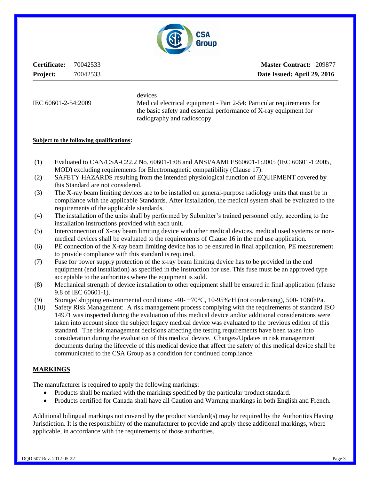

**Certificate:** 70042533 **Project:** 70042533

**Master Contract:** 209877  **Date Issued: April 29, 2016**

devices

IEC 60601-2-54:2009 Medical electrical equipment - Part 2-54: Particular requirements for the basic safety and essential performance of X-ray equipment for radiography and radioscopy

### **Subject to the following qualifications:**

- (1) Evaluated to CAN/CSA-C22.2 No. 60601-1:08 and ANSI/AAMI ES60601-1:2005 (IEC 60601-1:2005, MOD) excluding requirements for Electromagnetic compatibility (Clause 17).
- (2) SAFETY HAZARDS resulting from the intended physiological function of EQUIPMENT covered by this Standard are not considered.
- (3) The X-ray beam limiting devices are to be installed on general-purpose radiology units that must be in compliance with the applicable Standards. After installation, the medical system shall be evaluated to the requirements of the applicable standards.
- (4) The installation of the units shall by performed by Submitter's trained personnel only, according to the installation instructions provided with each unit.
- (5) Interconnection of X-ray beam limiting device with other medical devices, medical used systems or nonmedical devices shall be evaluated to the requirements of Clause 16 in the end use application.
- (6) PE connection of the X-ray beam limiting device has to be ensured in final application, PE measurement to provide compliance with this standard is required.
- (7) Fuse for power supply protection of the x-ray beam limiting device has to be provided in the end equipment (end installation) as specified in the instruction for use. This fuse must be an approved type acceptable to the authorities where the equipment is sold.
- (8) Mechanical strength of device installation to other equipment shall be ensured in final application (clause 9.8 of IEC 60601-1).
- (9) Storage/ shipping environmental conditions: -40- +70°C, 10-95%rH (not condensing), 500- 1060hPa.
- (10) Safety Risk Management: A risk management process complying with the requirements of standard ISO 14971 was inspected during the evaluation of this medical device and/or additional considerations were taken into account since the subject legacy medical device was evaluated to the previous edition of this standard. The risk management decisions affecting the testing requirements have been taken into consideration during the evaluation of this medical device. Changes/Updates in risk management documents during the lifecycle of this medical device that affect the safety of this medical device shall be communicated to the CSA Group as a condition for continued compliance.

### **MARKINGS**

The manufacturer is required to apply the following markings:

- Products shall be marked with the markings specified by the particular product standard.
- Products certified for Canada shall have all Caution and Warning markings in both English and French.

Additional bilingual markings not covered by the product standard(s) may be required by the Authorities Having Jurisdiction. It is the responsibility of the manufacturer to provide and apply these additional markings, where applicable, in accordance with the requirements of those authorities.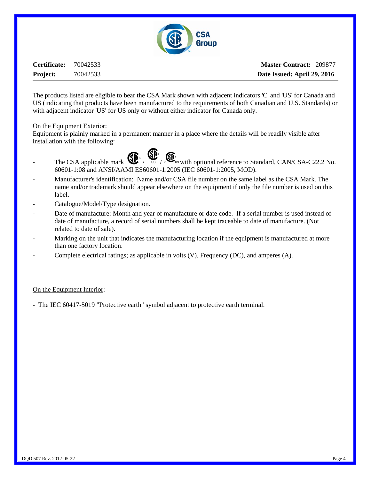

**Certificate:** 70042533 **Project:** 70042533

**Master Contract:** 209877  **Date Issued: April 29, 2016**

The products listed are eligible to bear the CSA Mark shown with adjacent indicators 'C' and 'US' for Canada and US (indicating that products have been manufactured to the requirements of both Canadian and U.S. Standards) or with adjacent indicator 'US' for US only or without either indicator for Canada only.

### On the Equipment Exterior:

Equipment is plainly marked in a permanent manner in a place where the details will be readily visible after installation with the following:



- The CSA applicable mark  $\bigoplus_{\mathsf{US}} \bigoplus_{\mathsf{US}} \mathsf{Set}_{\mathsf{US}}$  with optional reference to Standard, CAN/CSA-C22.2 No. 60601-1:08 and ANSI/AAMI ES60601-1:2005 (IEC 60601-1:2005, MOD).
- Manufacturer's identification: Name and/or CSA file number on the same label as the CSA Mark. The name and/or trademark should appear elsewhere on the equipment if only the file number is used on this label.
- Catalogue/Model/Type designation.
- Date of manufacture: Month and year of manufacture or date code. If a serial number is used instead of date of manufacture, a record of serial numbers shall be kept traceable to date of manufacture. (Not related to date of sale).
- Marking on the unit that indicates the manufacturing location if the equipment is manufactured at more than one factory location.
- Complete electrical ratings; as applicable in volts (V), Frequency (DC), and amperes (A).

### On the Equipment Interior:

- The IEC 60417-5019 "Protective earth" symbol adjacent to protective earth terminal.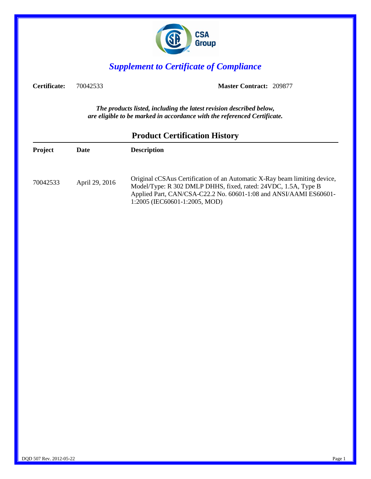

## *Supplement to Certificate of Compliance*

**Certificate:** 70042533 **Master Contract:** 209877

*The products listed, including the latest revision described below, are eligible to be marked in accordance with the referenced Certificate.*

|                |                | Trouter Certhication Theory                                                                                                                                                                                                                       |
|----------------|----------------|---------------------------------------------------------------------------------------------------------------------------------------------------------------------------------------------------------------------------------------------------|
| <b>Project</b> | <b>Date</b>    | <b>Description</b>                                                                                                                                                                                                                                |
| 70042533       | April 29, 2016 | Original cCSAus Certification of an Automatic X-Ray beam limiting device,<br>Model/Type: R 302 DMLP DHHS, fixed, rated: 24VDC, 1.5A, Type B<br>Applied Part, CAN/CSA-C22.2 No. 60601-1:08 and ANSI/AAMI ES60601-<br>1:2005 (IEC60601-1:2005, MOD) |

### **Product Certification History**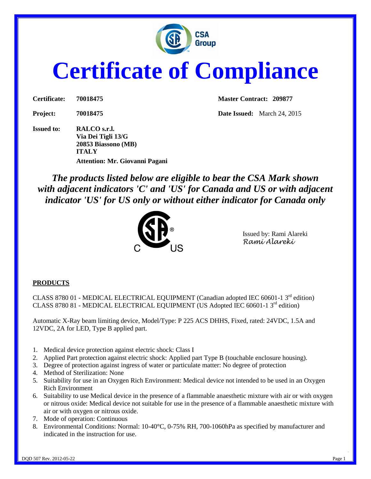

# **Certificate of Compliance**

**Issued to: RALCO s.r.l. Via Dei Tigli 13/G 20853 Biassono (MB) ITALY Attention: Mr. Giovanni Pagani**

**Certificate: 70018475 Master Contract: 209877**

**Project: 70018475 Date Issued:** March 24, 2015

*The products listed below are eligible to bear the CSA Mark shown with adjacent indicators 'C' and 'US' for Canada and US or with adjacent indicator 'US' for US only or without either indicator for Canada only* 



Issued by: Rami Alareki *Rami Alareki*

### **PRODUCTS**

CLASS 8780 01 - MEDICAL ELECTRICAL EQUIPMENT (Canadian adopted IEC 60601-1 3rd edition) CLASS 8780 81 - MEDICAL ELECTRICAL EQUIPMENT (US Adopted IEC 60601-1  $3<sup>rd</sup>$  edition)

Automatic X-Ray beam limiting device, Model/Type: P 225 ACS DHHS, Fixed, rated: 24VDC, 1.5A and 12VDC, 2A for LED, Type B applied part.

- 1. Medical device protection against electric shock: Class I
- 2. Applied Part protection against electric shock: Applied part Type B (touchable enclosure housing).
- 3. Degree of protection against ingress of water or particulate matter: No degree of protection
- 4. Method of Sterilization: None
- 5. Suitability for use in an Oxygen Rich Environment: Medical device not intended to be used in an Oxygen Rich Environment
- 6. Suitability to use Medical device in the presence of a flammable anaesthetic mixture with air or with oxygen or nitrous oxide: Medical device not suitable for use in the presence of a flammable anaesthetic mixture with air or with oxygen or nitrous oxide.
- 7. Mode of operation: Continuous
- 8. Environmental Conditions: Normal: 10-40°C, 0-75% RH, 700-1060hPa as specified by manufacturer and indicated in the instruction for use.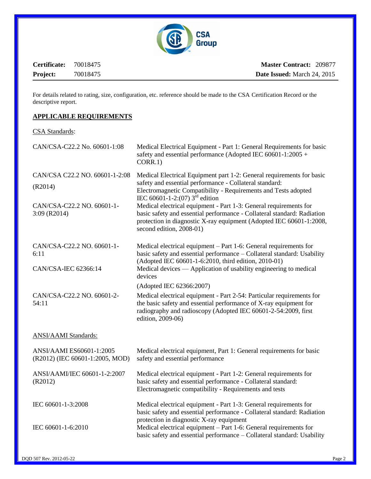

**Certificate:** 70018475 **Project:** 70018475

For details related to rating, size, configuration, etc. reference should be made to the CSA Certification Record or the descriptive report.

### **APPLICABLE REQUIREMENTS**

### CSA Standards:

| CAN/CSA-C22.2 No. 60601-1:08                                | Medical Electrical Equipment - Part 1: General Requirements for basic<br>safety and essential performance (Adopted IEC 60601-1:2005 +<br>CORR.1)                                                                                                |  |  |  |
|-------------------------------------------------------------|-------------------------------------------------------------------------------------------------------------------------------------------------------------------------------------------------------------------------------------------------|--|--|--|
| CAN/CSA C22.2 NO. 60601-1-2:08                              | Medical Electrical Equipment part 1-2: General requirements for basic                                                                                                                                                                           |  |  |  |
| (R2014)                                                     | safety and essential performance - Collateral standard:<br>Electromagnetic Compatibility - Requirements and Tests adopted<br>IEC 60601-1-2:(07) $3^{\text{rd}}$ edition                                                                         |  |  |  |
| CAN/CSA-C22.2 NO. 60601-1-<br>$3:09$ (R2014)                | Medical electrical equipment - Part 1-3: General requirements for<br>basic safety and essential performance - Collateral standard: Radiation<br>protection in diagnostic X-ray equipment (Adopted IEC 60601-1:2008,<br>second edition, 2008-01) |  |  |  |
| CAN/CSA-C22.2 NO. 60601-1-<br>6:11                          | Medical electrical equipment – Part 1-6: General requirements for<br>basic safety and essential performance - Collateral standard: Usability<br>(Adopted IEC 60601-1-6:2010, third edition, 2010-01)                                            |  |  |  |
| CAN/CSA-IEC 62366:14                                        | Medical devices — Application of usability engineering to medical<br>devices                                                                                                                                                                    |  |  |  |
|                                                             | (Adopted IEC 62366:2007)                                                                                                                                                                                                                        |  |  |  |
| CAN/CSA-C22.2 NO. 60601-2-<br>54:11                         | Medical electrical equipment - Part 2-54: Particular requirements for<br>the basic safety and essential performance of X-ray equipment for<br>radiography and radioscopy (Adopted IEC 60601-2-54:2009, first<br>edition, 2009-06)               |  |  |  |
| <b>ANSI/AAMI</b> Standards:                                 |                                                                                                                                                                                                                                                 |  |  |  |
| ANSI/AAMI ES60601-1:2005<br>(R2012) (IEC 60601-1:2005, MOD) | Medical electrical equipment, Part 1: General requirements for basic<br>safety and essential performance                                                                                                                                        |  |  |  |
| ANSI/AAMI/IEC 60601-1-2:2007<br>(R2012)                     | Medical electrical equipment - Part 1-2: General requirements for<br>basic safety and essential performance - Collateral standard:<br>Electromagnetic compatibility - Requirements and tests                                                    |  |  |  |
| IEC 60601-1-3:2008                                          | Medical electrical equipment - Part 1-3: General requirements for<br>basic safety and essential performance - Collateral standard: Radiation<br>protection in diagnostic X-ray equipment                                                        |  |  |  |
| IEC 60601-1-6:2010                                          | Medical electrical equipment - Part 1-6: General requirements for<br>basic safety and essential performance - Collateral standard: Usability                                                                                                    |  |  |  |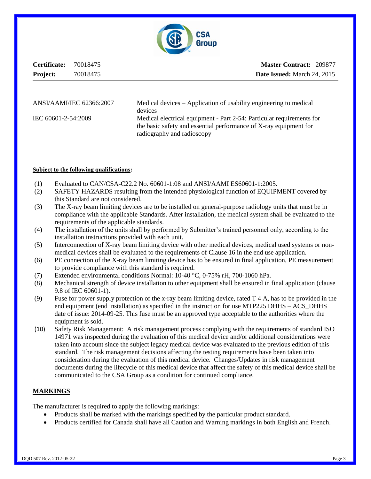

**Certificate:** 70018475 **Project:** 70018475

**Master Contract:** 209877  **Date Issued:** March 24, 2015

[ANSI/AAMI/IEC 62366:2007](http://webstore.ansi.org/RecordDetail.aspx?sku=ANSI%2fAAMI+HE75+and+ANSI%2fAAMI%2fIEC+62366+Human+Factor+Set) Medical devices – Application of usability engineering to medical devices IEC 60601-2-54:2009 Medical electrical equipment - Part 2-54: Particular requirements for the basic safety and essential performance of X-ray equipment for radiography and radioscopy

### **Subject to the following qualifications:**

- (1) Evaluated to CAN/CSA-C22.2 No. 60601-1:08 and ANSI/AAMI ES60601-1:2005.
- (2) SAFETY HAZARDS resulting from the intended physiological function of EQUIPMENT covered by this Standard are not considered.
- (3) The X-ray beam limiting devices are to be installed on general-purpose radiology units that must be in compliance with the applicable Standards. After installation, the medical system shall be evaluated to the requirements of the applicable standards.
- (4) The installation of the units shall by performed by Submitter's trained personnel only, according to the installation instructions provided with each unit.
- (5) Interconnection of X-ray beam limiting device with other medical devices, medical used systems or nonmedical devices shall be evaluated to the requirements of Clause 16 in the end use application.
- (6) PE connection of the X-ray beam limiting device has to be ensured in final application, PE measurement to provide compliance with this standard is required.
- (7) Extended environmental conditions Normal: 10-40 °C, 0-75% rH, 700-1060 hPa.
- (8) Mechanical strength of device installation to other equipment shall be ensured in final application (clause 9.8 of IEC 60601-1).
- (9) Fuse for power supply protection of the x-ray beam limiting device, rated T 4 A, has to be provided in the end equipment (end installation) as specified in the instruction for use MTP225 DHHS – ACS\_DHHS date of issue: 2014-09-25. This fuse must be an approved type acceptable to the authorities where the equipment is sold.
- (10) Safety Risk Management: A risk management process complying with the requirements of standard ISO 14971 was inspected during the evaluation of this medical device and/or additional considerations were taken into account since the subject legacy medical device was evaluated to the previous edition of this standard. The risk management decisions affecting the testing requirements have been taken into consideration during the evaluation of this medical device. Changes/Updates in risk management documents during the lifecycle of this medical device that affect the safety of this medical device shall be communicated to the CSA Group as a condition for continued compliance.

### **MARKINGS**

The manufacturer is required to apply the following markings:

- Products shall be marked with the markings specified by the particular product standard.
- Products certified for Canada shall have all Caution and Warning markings in both English and French.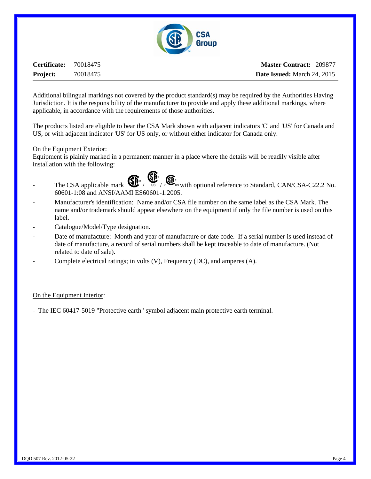

**Certificate:** 70018475 **Project:** 70018475

**Master Contract:** 209877  **Date Issued:** March 24, 2015

Additional bilingual markings not covered by the product standard(s) may be required by the Authorities Having Jurisdiction. It is the responsibility of the manufacturer to provide and apply these additional markings, where applicable, in accordance with the requirements of those authorities.

The products listed are eligible to bear the CSA Mark shown with adjacent indicators 'C' and 'US' for Canada and US, or with adjacent indicator 'US' for US only, or without either indicator for Canada only.

### On the Equipment Exterior:

Equipment is plainly marked in a permanent manner in a place where the details will be readily visible after installation with the following:

- The CSA applicable mark  $\bigoplus_{\mathsf{us}} \bigoplus_{\mathsf{us}} \bigoplus_{\mathsf{us}} \mathsf{with}$  optional reference to Standard, CAN/CSA-C22.2 No. 60601-1:08 and ANSI/AAMI ES60601-1:2005.
- Manufacturer's identification: Name and/or CSA file number on the same label as the CSA Mark. The name and/or trademark should appear elsewhere on the equipment if only the file number is used on this label.
- Catalogue/Model/Type designation.
- Date of manufacture: Month and year of manufacture or date code. If a serial number is used instead of date of manufacture, a record of serial numbers shall be kept traceable to date of manufacture. (Not related to date of sale).
- Complete electrical ratings; in volts (V), Frequency (DC), and amperes (A).

### On the Equipment Interior:

- The IEC 60417-5019 "Protective earth" symbol adjacent main protective earth terminal.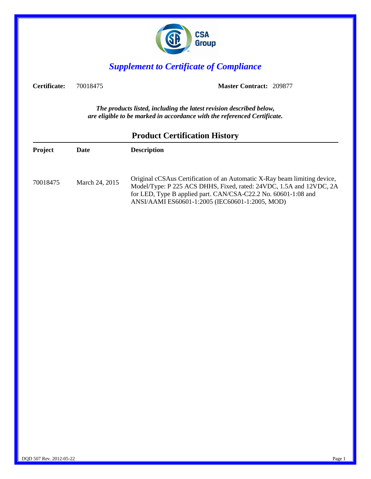

## *Supplement to Certificate of Compliance*

**Certificate:** 70018475 **Master Contract:** 209877

*The products listed, including the latest revision described below, are eligible to be marked in accordance with the referenced Certificate.*

| Project  | Date           | <b>Description</b>                                                                                                                                                                                                                                                    |
|----------|----------------|-----------------------------------------------------------------------------------------------------------------------------------------------------------------------------------------------------------------------------------------------------------------------|
| 70018475 | March 24, 2015 | Original cCSAus Certification of an Automatic X-Ray beam limiting device,<br>Model/Type: P 225 ACS DHHS, Fixed, rated: 24VDC, 1.5A and 12VDC, 2A<br>for LED, Type B applied part. CAN/CSA-C22.2 No. 60601-1:08 and<br>ANSI/AAMI ES60601-1:2005 (IEC60601-1:2005, MOD) |
|          |                |                                                                                                                                                                                                                                                                       |

### **Product Certification History**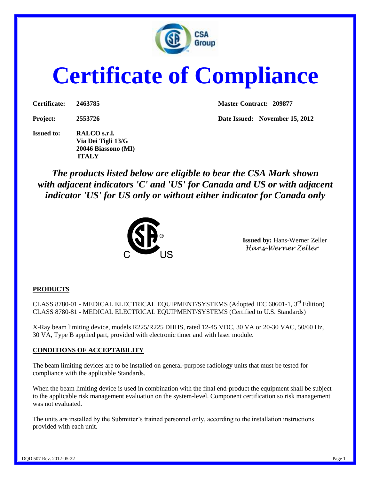

# **Certificate of Compliance**

| Certificate: | 2463785 |
|--------------|---------|
|              |         |

**Issued to: RALCO s.r.l. Via Dei Tigli 13/G 20046 Biassono (MI) ITALY**

**Master Contract: 209877** 

**Project: 2553726 Date Issued: November 15, 2012**

*The products listed below are eligible to bear the CSA Mark shown with adjacent indicators 'C' and 'US' for Canada and US or with adjacent indicator 'US' for US only or without either indicator for Canada only* 



**Issued by:** Hans-Werner Zeller *Hans-Werner Zeller*

### **PRODUCTS**

CLASS 8780-01 - MEDICAL ELECTRICAL EQUIPMENT/SYSTEMS (Adopted IEC 60601-1, 3<sup>rd</sup> Edition) CLASS 8780-81 - MEDICAL ELECTRICAL EQUIPMENT/SYSTEMS (Certified to U.S. Standards)

X-Ray beam limiting device, models R225/R225 DHHS, rated 12-45 VDC, 30 VA or 20-30 VAC, 50/60 Hz, 30 VA, Type B applied part, provided with electronic timer and with laser module.

### **CONDITIONS OF ACCEPTABILITY**

The beam limiting devices are to be installed on general-purpose radiology units that must be tested for compliance with the applicable Standards.

When the beam limiting device is used in combination with the final end-product the equipment shall be subject to the applicable risk management evaluation on the system-level. Component certification so risk management was not evaluated.

The units are installed by the Submitter's trained personnel only, according to the installation instructions provided with each unit.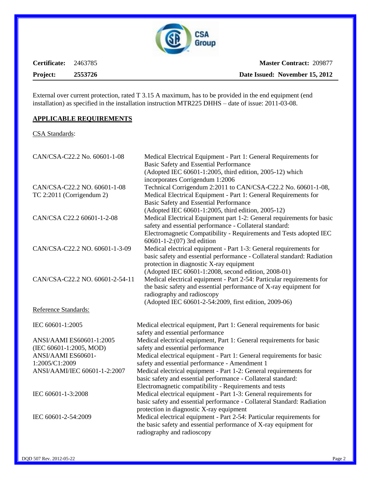

**Certificate:** 2463785 **Project: 2553726**

External over current protection, rated T 3.15 A maximum, has to be provided in the end equipment (end installation) as specified in the installation instruction MTR225 DHHS – date of issue: 2011-03-08.

### **APPLICABLE REQUIREMENTS**

CSA Standards:

| CAN/CSA-C22.2 No. 60601-1-08                                | Medical Electrical Equipment - Part 1: General Requirements for<br><b>Basic Safety and Essential Performance</b><br>(Adopted IEC 60601-1:2005, third edition, 2005-12) which<br>incorporates Corrigendum 1:2006                                 |  |  |  |
|-------------------------------------------------------------|-------------------------------------------------------------------------------------------------------------------------------------------------------------------------------------------------------------------------------------------------|--|--|--|
| CAN/CSA-C22.2 NO. 60601-1-08<br>TC $2:2011$ (Corrigendum 2) | Technical Corrigendum 2:2011 to CAN/CSA-C22.2 No. 60601-1-08,<br>Medical Electrical Equipment - Part 1: General Requirements for<br>Basic Safety and Essential Performance<br>(Adopted IEC 60601-1:2005, third edition, 2005-12)                |  |  |  |
| CAN/CSA C22.2 60601-1-2-08                                  | Medical Electrical Equipment part 1-2: General requirements for basic<br>safety and essential performance - Collateral standard:<br>Electromagnetic Compatibility - Requirements and Tests adopted IEC<br>60601-1-2:(07) 3rd edition            |  |  |  |
| CAN/CSA-C22.2 NO. 60601-1-3-09                              | Medical electrical equipment - Part 1-3: General requirements for<br>basic safety and essential performance - Collateral standard: Radiation<br>protection in diagnostic X-ray equipment<br>(Adopted IEC 60601-1:2008, second edition, 2008-01) |  |  |  |
| CAN/CSA-C22.2 NO. 60601-2-54-11                             | Medical electrical equipment - Part 2-54: Particular requirements for<br>the basic safety and essential performance of X-ray equipment for<br>radiography and radioscopy<br>(Adopted IEC 60601-2-54:2009, first edition, 2009-06)               |  |  |  |
| Reference Standards:                                        |                                                                                                                                                                                                                                                 |  |  |  |
| IEC 60601-1:2005                                            | Medical electrical equipment, Part 1: General requirements for basic<br>safety and essential performance                                                                                                                                        |  |  |  |
| ANSI/AAMI ES60601-1:2005                                    | Medical electrical equipment, Part 1: General requirements for basic                                                                                                                                                                            |  |  |  |
| (IEC 60601-1:2005, MOD)<br>ANSI/AAMI ES60601-               | safety and essential performance<br>Medical electrical equipment - Part 1: General requirements for basic                                                                                                                                       |  |  |  |
| 1:2005/C1:2009                                              | safety and essential performance - Amendment 1                                                                                                                                                                                                  |  |  |  |
| ANSI/AAMI/IEC 60601-1-2:2007                                | Medical electrical equipment - Part 1-2: General requirements for<br>basic safety and essential performance - Collateral standard:<br>Electromagnetic compatibility - Requirements and tests                                                    |  |  |  |
| IEC 60601-1-3:2008                                          | Medical electrical equipment - Part 1-3: General requirements for<br>basic safety and essential performance - Collateral Standard: Radiation<br>protection in diagnostic X-ray equipment                                                        |  |  |  |
| IEC 60601-2-54:2009                                         | Medical electrical equipment - Part 2-54: Particular requirements for<br>the basic safety and essential performance of X-ray equipment for<br>radiography and radioscopy                                                                        |  |  |  |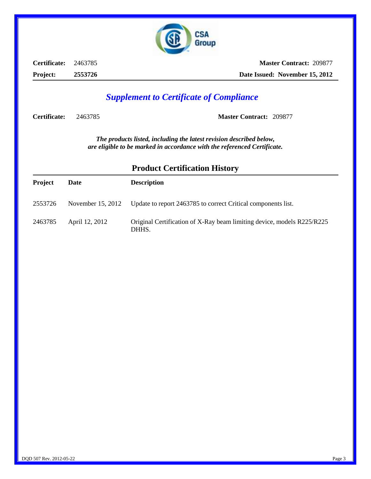

**Certificate:** 2463785 **Project: 2553726**

**Master Contract:** 209877 **Date Issued: November 15, 2012** 

## *Supplement to Certificate of Compliance*

**Certificate:** 2463785 **Master Contract:** 209877

*The products listed, including the latest revision described below, are eligible to be marked in accordance with the referenced Certificate.*

| <b>Project</b> | Date              | <b>Description</b>                                                              |
|----------------|-------------------|---------------------------------------------------------------------------------|
| 2553726        | November 15, 2012 | Update to report 2463785 to correct Critical components list.                   |
| 2463785        | April 12, 2012    | Original Certification of X-Ray beam limiting device, models R225/R225<br>DHHS. |

### **Product Certification History**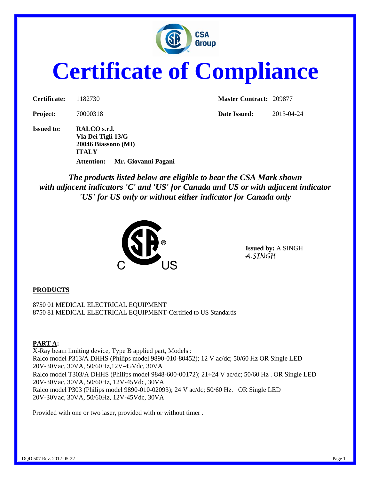

# **Certificate of Compliance**

**Issued to: RALCO s.r.l. Via Dei Tigli 13/G 20046 Biassono (MI) ITALY Attention: Mr. Giovanni Pagani**

**Certificate:** 1182730 **Master Contract:** 209877

**Project:** 70000318 **Date Issued:** 2013-04-24

*The products listed below are eligible to bear the CSA Mark shown with adjacent indicators 'C' and 'US' for Canada and US or with adjacent indicator 'US' for US only or without either indicator for Canada only* 



 **Issued by:** A.SINGH *A.SINGH* 

### **PRODUCTS**

8750 01 MEDICAL ELECTRICAL EQUIPMENT 8750 81 MEDICAL ELECTRICAL EQUIPMENT-Certified to US Standards

### **PART A:**

X-Ray beam limiting device, Type B applied part, Models : Ralco model P313/A DHHS (Philips model 9890-010-80452); 12 V ac/dc; 50/60 Hz OR Single LED 20V-30Vac, 30VA, 50/60Hz,12V-45Vdc, 30VA Ralco model T303/A DHHS (Philips model 9848-600-00172);  $21\div 24$  V ac/dc; 50/60 Hz. OR Single LED 20V-30Vac, 30VA, 50/60Hz, 12V-45Vdc, 30VA Ralco model P303 (Philips model 9890-010-02093); 24 V ac/dc; 50/60 Hz. OR Single LED 20V-30Vac, 30VA, 50/60Hz, 12V-45Vdc, 30VA

Provided with one or two laser, provided with or without timer .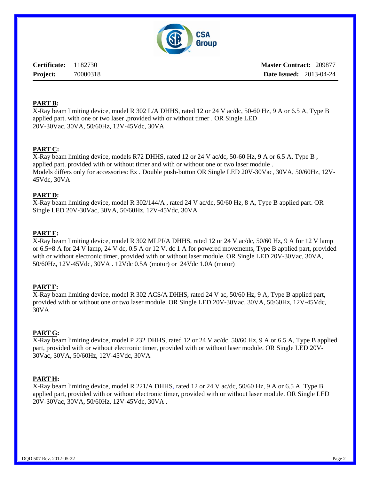

**Master Contract:** 209877 **Date Issued:** 2013-04-24

### **PART B:**

X-Ray beam limiting device, model R 302 L/A DHHS, rated 12 or 24 V ac/dc, 50-60 Hz, 9 A or 6.5 A, Type B applied part. with one or two laser ,provided with or without timer . OR Single LED 20V-30Vac, 30VA, 50/60Hz, 12V-45Vdc, 30VA

### **PART C:**

X-Ray beam limiting device, models R72 DHHS, rated 12 or 24 V ac/dc, 50-60 Hz, 9 A or 6.5 A, Type B , applied part. provided with or without timer and with or without one or two laser module . Models differs only for accessories: Ex . Double push-button OR Single LED 20V-30Vac, 30VA, 50/60Hz, 12V-45Vdc, 30VA

### **PART D:**

X-Ray beam limiting device, model R 302/144/A , rated 24 V ac/dc, 50/60 Hz, 8 A, Type B applied part. OR Single LED 20V-30Vac, 30VA, 50/60Hz, 12V-45Vdc, 30VA

### **PART E:**

X-Ray beam limiting device, model R 302 MLPI/A DHHS, rated 12 or 24 V ac/dc, 50/60 Hz, 9 A for 12 V lamp or 6.5÷8 A for 24 V lamp, 24 V dc, 0.5 A or 12 V. dc 1 A for powered movements, Type B applied part, provided with or without electronic timer, provided with or without laser module. OR Single LED 20V-30Vac, 30VA, 50/60Hz, 12V-45Vdc, 30VA . 12Vdc 0.5A (motor) or 24Vdc 1.0A (motor)

### **PART F:**

X-Ray beam limiting device, model R 302 ACS/A DHHS, rated 24 V ac, 50/60 Hz, 9 A, Type B applied part, provided with or without one or two laser module. OR Single LED 20V-30Vac, 30VA, 50/60Hz, 12V-45Vdc, 30VA

### **PART G:**

X-Ray beam limiting device, model P 232 DHHS, rated 12 or 24 V ac/dc, 50/60 Hz, 9 A or 6.5 A, Type B applied part, provided with or without electronic timer, provided with or without laser module. OR Single LED 20V-30Vac, 30VA, 50/60Hz, 12V-45Vdc, 30VA

### **PART H:**

X-Ray beam limiting device, model R 221/A DHHS, rated 12 or 24 V ac/dc, 50/60 Hz, 9 A or 6.5 A. Type B applied part, provided with or without electronic timer, provided with or without laser module. OR Single LED 20V-30Vac, 30VA, 50/60Hz, 12V-45Vdc, 30VA .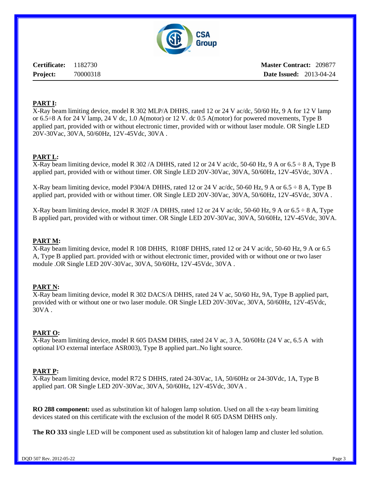

**Master Contract:** 209877 **Date Issued:** 2013-04-24

### **PART I:**

X-Ray beam limiting device, model R 302 MLP/A DHHS, rated 12 or 24 V ac/dc, 50/60 Hz, 9 A for 12 V lamp or 6.5÷8 A for 24 V lamp, 24 V dc, 1.0 A(motor) or 12 V. dc 0.5 A(motor) for powered movements, Type B applied part, provided with or without electronic timer, provided with or without laser module. OR Single LED 20V-30Vac, 30VA, 50/60Hz, 12V-45Vdc, 30VA .

### **PART L:**

X-Ray beam limiting device, model R 302/A DHHS, rated 12 or 24 V ac/dc, 50-60 Hz, 9 A or 6.5  $\div$  8 A, Type B applied part, provided with or without timer. OR Single LED 20V-30Vac, 30VA, 50/60Hz, 12V-45Vdc, 30VA .

X-Ray beam limiting device, model P304/A DHHS, rated 12 or 24 V ac/dc, 50-60 Hz, 9 A or 6.5  $\div$  8 A, Type B applied part, provided with or without timer. OR Single LED 20V-30Vac, 30VA, 50/60Hz, 12V-45Vdc, 30VA .

X-Ray beam limiting device, model R 302F /A DHHS, rated 12 or 24 V ac/dc, 50-60 Hz, 9 A or 6.5  $\div$  8 A, Type B applied part, provided with or without timer. OR Single LED 20V-30Vac, 30VA, 50/60Hz, 12V-45Vdc, 30VA.

### **PART M:**

X-Ray beam limiting device, model R 108 DHHS, R108F DHHS, rated 12 or 24 V ac/dc, 50-60 Hz, 9 A or 6.5 A, Type B applied part. provided with or without electronic timer, provided with or without one or two laser module .OR Single LED 20V-30Vac, 30VA, 50/60Hz, 12V-45Vdc, 30VA .

### **PART N:**

X-Ray beam limiting device, model R 302 DACS/A DHHS, rated 24 V ac, 50/60 Hz, 9A, Type B applied part, provided with or without one or two laser module. OR Single LED 20V-30Vac, 30VA, 50/60Hz, 12V-45Vdc, 30VA .

### **PART O:**

X-Ray beam limiting device, model R 605 DASM DHHS, rated 24 V ac, 3 A, 50/60Hz (24 V ac, 6.5 A with optional I/O external interface ASR003), Type B applied part..No light source.

### **PART P:**

X-Ray beam limiting device, model R72 S DHHS, rated 24-30Vac, 1A, 50/60Hz or 24-30Vdc, 1A, Type B applied part. OR Single LED 20V-30Vac, 30VA, 50/60Hz, 12V-45Vdc, 30VA .

**RO 288 component:** used as substitution kit of halogen lamp solution. Used on all the x-ray beam limiting devices stated on this certificate with the exclusion of the model R 605 DASM DHHS only.

**The RO 333** single LED will be component used as substitution kit of halogen lamp and cluster led solution.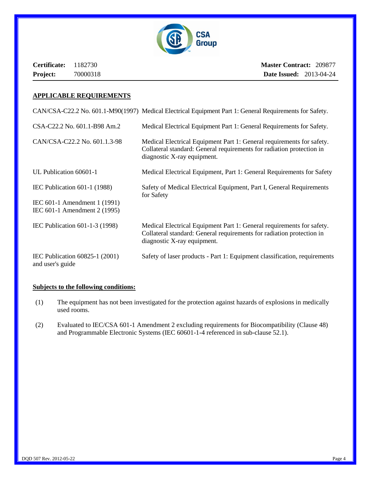

**Master Contract:** 209877 **Date Issued:** 2013-04-24

### **APPLICABLE REQUIREMENTS**

CAN/CSA-C22.2 No. 601.1-M90(1997) Medical Electrical Equipment Part 1: General Requirements for Safety.

| CSA-C22.2 No. 601.1-B98 Am.2                                                                   | Medical Electrical Equipment Part 1: General Requirements for Safety.                                                                                                         |
|------------------------------------------------------------------------------------------------|-------------------------------------------------------------------------------------------------------------------------------------------------------------------------------|
| CAN/CSA-C22.2 No. 601.1.3-98                                                                   | Medical Electrical Equipment Part 1: General requirements for safety.<br>Collateral standard: General requirements for radiation protection in<br>diagnostic X-ray equipment. |
| UL Publication 60601-1                                                                         | Medical Electrical Equipment, Part 1: General Requirements for Safety                                                                                                         |
| IEC Publication $601-1$ (1988)<br>IEC 601-1 Amendment 1 (1991)<br>IEC 601-1 Amendment 2 (1995) | Safety of Medical Electrical Equipment, Part I, General Requirements<br>for Safety                                                                                            |
| IEC Publication 601-1-3 (1998)                                                                 | Medical Electrical Equipment Part 1: General requirements for safety.<br>Collateral standard: General requirements for radiation protection in<br>diagnostic X-ray equipment. |
| IEC Publication 60825-1 (2001)<br>and user's guide                                             | Safety of laser products - Part 1: Equipment classification, requirements                                                                                                     |

### **Subjects to the following conditions:**

- (1) The equipment has not been investigated for the protection against hazards of explosions in medically used rooms.
- (2) Evaluated to IEC/CSA 601-1 Amendment 2 excluding requirements for Biocompatibility (Clause 48) and Programmable Electronic Systems (IEC 60601-1-4 referenced in sub-clause 52.1).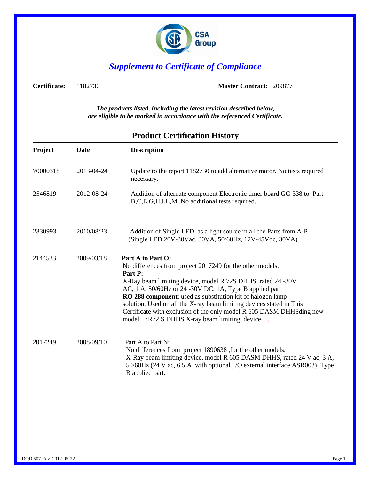

## *Supplement to Certificate of Compliance*

**Certificate:** 1182730 **Master Contract:** 209877

*The products listed, including the latest revision described below, are eligible to be marked in accordance with the referenced Certificate.*

| Project  | Date       | <b>Description</b>                                                                                                                                                                                                                                                                                                                                                                                                                                                                |  |  |
|----------|------------|-----------------------------------------------------------------------------------------------------------------------------------------------------------------------------------------------------------------------------------------------------------------------------------------------------------------------------------------------------------------------------------------------------------------------------------------------------------------------------------|--|--|
| 70000318 | 2013-04-24 | Update to the report 1182730 to add alternative motor. No tests required<br>necessary.                                                                                                                                                                                                                                                                                                                                                                                            |  |  |
| 2546819  | 2012-08-24 | Addition of alternate component Electronic timer board GC-338 to Part<br>B,C,E,G,H,I,L,M.No additional tests required.                                                                                                                                                                                                                                                                                                                                                            |  |  |
| 2330993  | 2010/08/23 | Addition of Single LED as a light source in all the Parts from A-P<br>(Single LED 20V-30Vac, 30VA, 50/60Hz, 12V-45Vdc, 30VA)                                                                                                                                                                                                                                                                                                                                                      |  |  |
| 2144533  | 2009/03/18 | Part A to Part O:<br>No differences from project 2017249 for the other models.<br>Part P:<br>X-Ray beam limiting device, model R 72S DHHS, rated 24 -30V<br>AC, 1 A, 50/60Hz or 24 -30V DC, 1A, Type B applied part<br>RO 288 component: used as substitution kit of halogen lamp<br>solution. Used on all the X-ray beam limiting devices stated in This<br>Certificate with exclusion of the only model R 605 DASM DHHSding new<br>model :R72 S DHHS X-ray beam limiting device |  |  |
| 2017249  | 2008/09/10 | Part A to Part N:<br>No differences from project 1890638 , for the other models.<br>X-Ray beam limiting device, model R 605 DASM DHHS, rated 24 V ac, 3 A,<br>50/60Hz (24 V ac, 6.5 A with optional, /O external interface ASR003), Type<br>B applied part.                                                                                                                                                                                                                       |  |  |

### **Product Certification History**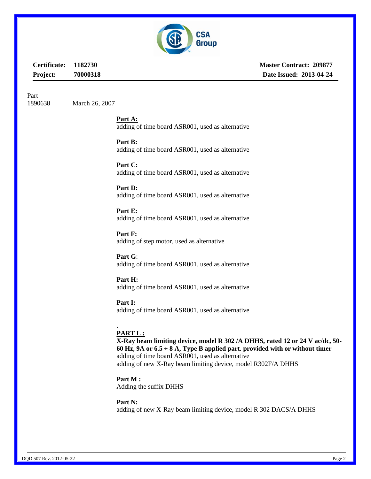

**Master Contract: 209877 Date Issued: 2013-04-24**

Part

1890638 March 26, 2007

**Part A:**  adding of time board ASR001, used as alternative

**Part B:**  adding of time board ASR001, used as alternative

**Part C:**  adding of time board ASR001, used as alternative

**Part D:**  adding of time board ASR001, used as alternative

**Part E:**  adding of time board ASR001, used as alternative

**Part F:**  adding of step motor, used as alternative

**Part G**: adding of time board ASR001, used as alternative

**Part H:**  adding of time board ASR001, used as alternative

**Part I:**  adding of time board ASR001, used as alternative

### **. PART L :**

**X-Ray beam limiting device, model R 302 /A DHHS, rated 12 or 24 V ac/dc, 50- 60 Hz, 9A or 6.5 ÷ 8 A, Type B applied part. provided with or without timer** adding of time board ASR001, used as alternative adding of new X-Ray beam limiting device, model R302F/A DHHS

**Part M :**  Adding the suffix DHHS

**Part N:**  adding of new X-Ray beam limiting device, model R 302 DACS/A DHHS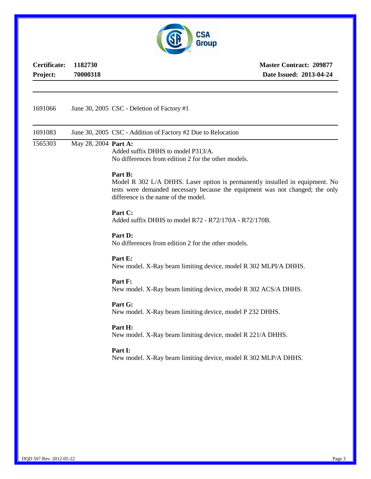

**Master Contract: 209877 Date Issued: 2013-04-24**

| 1691066 |                      | June 30, 2005 CSC - Deletion of Factory #1                                                                                                                                                                       |  |  |  |
|---------|----------------------|------------------------------------------------------------------------------------------------------------------------------------------------------------------------------------------------------------------|--|--|--|
| 1691083 |                      | June 30, 2005 CSC - Addition of Factory #2 Due to Relocation                                                                                                                                                     |  |  |  |
| 1565303 | May 28, 2004 Part A: | Added suffix DHHS to model P313/A.<br>No differences from edition 2 for the other models.                                                                                                                        |  |  |  |
|         |                      | Part B:<br>Model R 302 L/A DHHS. Laser option is permanently installed in equipment. No<br>tests were demanded necessary because the equipment was not changed; the only<br>difference is the name of the model. |  |  |  |
|         |                      | Part C:<br>Added suffix DHHS to model R72 - R72/170A - R72/170B.                                                                                                                                                 |  |  |  |
|         |                      | Part D:<br>No differences from edition 2 for the other models.<br>Part E:<br>New model. X-Ray beam limiting device, model R 302 MLPI/A DHHS.                                                                     |  |  |  |
|         |                      |                                                                                                                                                                                                                  |  |  |  |
|         |                      | Part F:<br>New model. X-Ray beam limiting device, model R 302 ACS/A DHHS.                                                                                                                                        |  |  |  |
|         |                      | Part G:<br>New model. X-Ray beam limiting device, model P 232 DHHS.                                                                                                                                              |  |  |  |
|         |                      | Part H:<br>New model. X-Ray beam limiting device, model R 221/A DHHS.                                                                                                                                            |  |  |  |
|         |                      | Part I:<br>New model. X-Ray beam limiting device, model R 302 MLP/A DHHS.                                                                                                                                        |  |  |  |
|         |                      |                                                                                                                                                                                                                  |  |  |  |
|         |                      |                                                                                                                                                                                                                  |  |  |  |
|         |                      |                                                                                                                                                                                                                  |  |  |  |